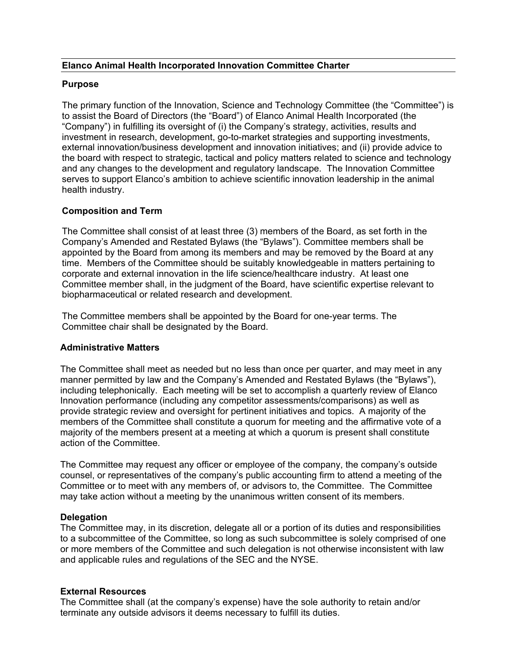## **Elanco Animal Health Incorporated Innovation Committee Charter**

## **Purpose**

The primary function of the Innovation, Science and Technology Committee (the "Committee") is to assist the Board of Directors (the "Board") of Elanco Animal Health Incorporated (the "Company") in fulfilling its oversight of (i) the Company's strategy, activities, results and investment in research, development, go-to-market strategies and supporting investments, external innovation/business development and innovation initiatives; and (ii) provide advice to the board with respect to strategic, tactical and policy matters related to science and technology and any changes to the development and regulatory landscape. The Innovation Committee serves to support Elanco's ambition to achieve scientific innovation leadership in the animal health industry.

# **Composition and Term**

The Committee shall consist of at least three (3) members of the Board, as set forth in the Company's Amended and Restated Bylaws (the "Bylaws"). Committee members shall be appointed by the Board from among its members and may be removed by the Board at any time. Members of the Committee should be suitably knowledgeable in matters pertaining to corporate and external innovation in the life science/healthcare industry. At least one Committee member shall, in the judgment of the Board, have scientific expertise relevant to biopharmaceutical or related research and development.

The Committee members shall be appointed by the Board for one-year terms. The Committee chair shall be designated by the Board.

#### **Administrative Matters**

The Committee shall meet as needed but no less than once per quarter, and may meet in any manner permitted by law and the Company's Amended and Restated Bylaws (the "Bylaws"), including telephonically. Each meeting will be set to accomplish a quarterly review of Elanco Innovation performance (including any competitor assessments/comparisons) as well as provide strategic review and oversight for pertinent initiatives and topics. A majority of the members of the Committee shall constitute a quorum for meeting and the affirmative vote of a majority of the members present at a meeting at which a quorum is present shall constitute action of the Committee.

The Committee may request any officer or employee of the company, the company's outside counsel, or representatives of the company's public accounting firm to attend a meeting of the Committee or to meet with any members of, or advisors to, the Committee. The Committee may take action without a meeting by the unanimous written consent of its members.

# **Delegation**

The Committee may, in its discretion, delegate all or a portion of its duties and responsibilities to a subcommittee of the Committee, so long as such subcommittee is solely comprised of one or more members of the Committee and such delegation is not otherwise inconsistent with law and applicable rules and regulations of the SEC and the NYSE.

#### **External Resources**

The Committee shall (at the company's expense) have the sole authority to retain and/or terminate any outside advisors it deems necessary to fulfill its duties.